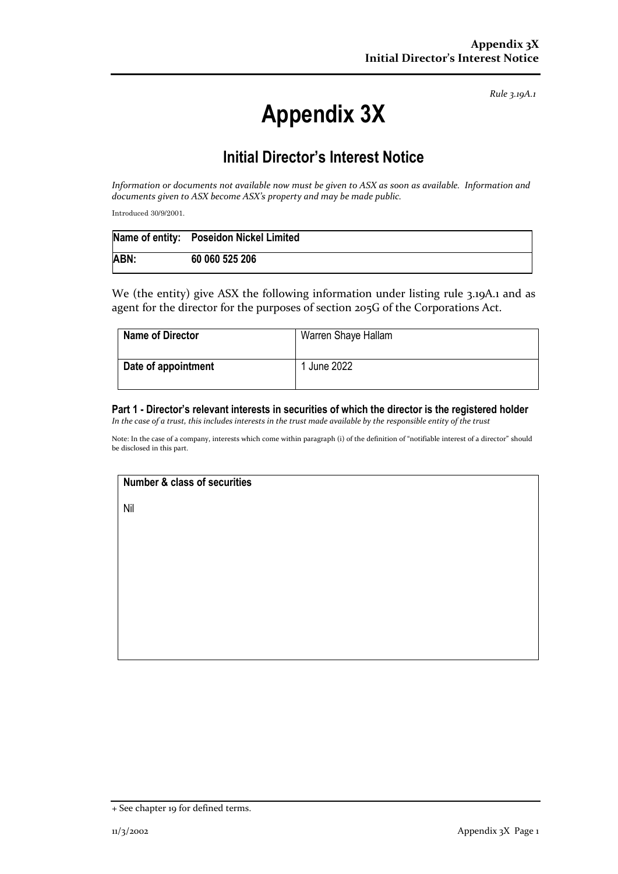*Rule 3.19A.1*

# **Appendix 3X**

## **Initial Director's Interest Notice**

*Information or documents not available now must be given to ASX as soon as available. Information and documents given to ASX become ASX's property and may be made public.*

Introduced 30/9/2001.

|      | Name of entity: Poseidon Nickel Limited |
|------|-----------------------------------------|
| ABN: | 60 060 525 206                          |

We (the entity) give ASX the following information under listing rule 3.19A.1 and as agent for the director for the purposes of section 205G of the Corporations Act.

| <b>Name of Director</b> | Warren Shaye Hallam |
|-------------------------|---------------------|
| Date of appointment     | June 2022           |

### **Part 1 - Director's relevant interests in securities of which the director is the registered holder**

*In the case of a trust, this includes interests in the trust made available by the responsible entity of the trust*

Note: In the case of a company, interests which come within paragraph (i) of the definition of "notifiable interest of a director" should be disclosed in this part.

#### **Number & class of securities**

Nil

<sup>+</sup> See chapter 19 for defined terms.